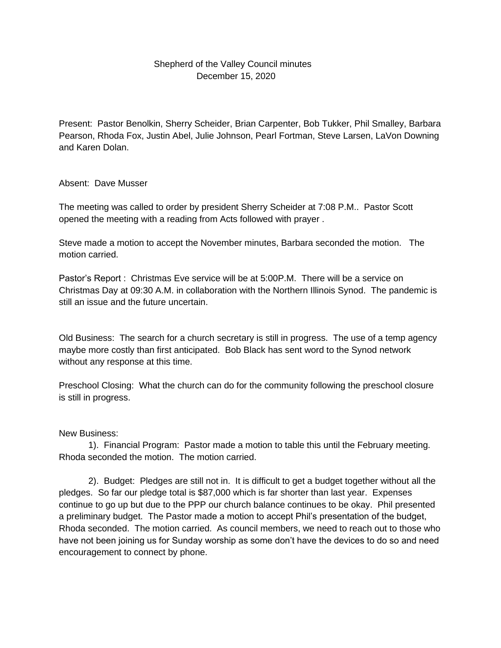## Shepherd of the Valley Council minutes December 15, 2020

Present: Pastor Benolkin, Sherry Scheider, Brian Carpenter, Bob Tukker, Phil Smalley, Barbara Pearson, Rhoda Fox, Justin Abel, Julie Johnson, Pearl Fortman, Steve Larsen, LaVon Downing and Karen Dolan.

## Absent: Dave Musser

The meeting was called to order by president Sherry Scheider at 7:08 P.M.. Pastor Scott opened the meeting with a reading from Acts followed with prayer .

Steve made a motion to accept the November minutes, Barbara seconded the motion. The motion carried.

Pastor's Report : Christmas Eve service will be at 5:00P.M. There will be a service on Christmas Day at 09:30 A.M. in collaboration with the Northern Illinois Synod. The pandemic is still an issue and the future uncertain.

Old Business: The search for a church secretary is still in progress. The use of a temp agency maybe more costly than first anticipated. Bob Black has sent word to the Synod network without any response at this time.

Preschool Closing: What the church can do for the community following the preschool closure is still in progress.

## New Business:

1). Financial Program: Pastor made a motion to table this until the February meeting. Rhoda seconded the motion. The motion carried.

2). Budget: Pledges are still not in. It is difficult to get a budget together without all the pledges. So far our pledge total is \$87,000 which is far shorter than last year. Expenses continue to go up but due to the PPP our church balance continues to be okay. Phil presented a preliminary budget. The Pastor made a motion to accept Phil's presentation of the budget, Rhoda seconded. The motion carried. As council members, we need to reach out to those who have not been joining us for Sunday worship as some don't have the devices to do so and need encouragement to connect by phone.